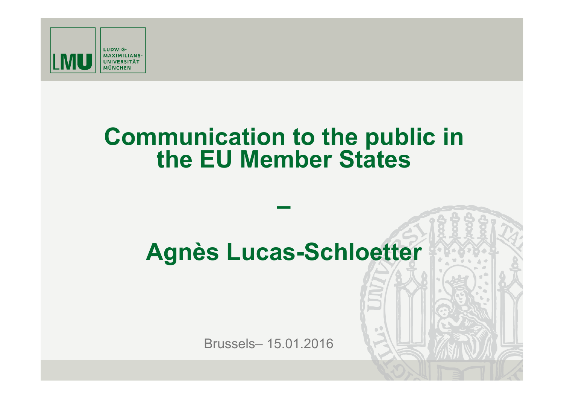

# **Communication to the public in the EU Member States**

# **Agnès Lucas-Schloetter**

**–** 

Brussels– 15.01.2016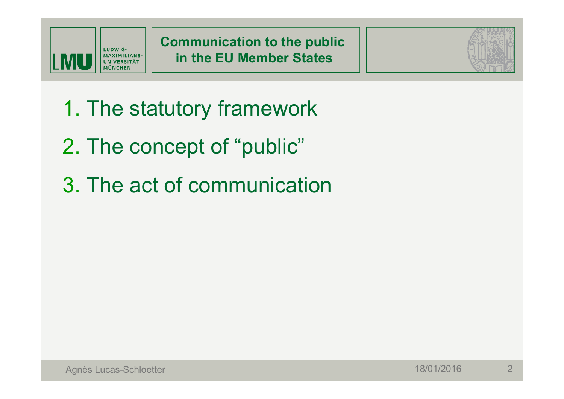



- 1. The statutory framework
- 2. The concept of "public"
- 3. The act of communication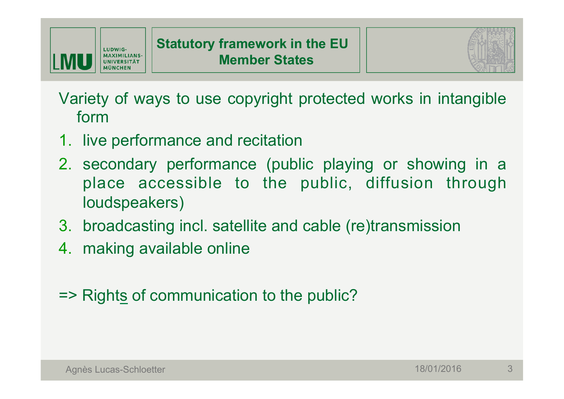



Variety of ways to use copyright protected works in intangible form

- 1. live performance and recitation
- 2. secondary performance (public playing or showing in a place accessible to the public, diffusion through loudspeakers)
- 3. broadcasting incl. satellite and cable (re)transmission
- 4. making available online
- => Rights of communication to the public?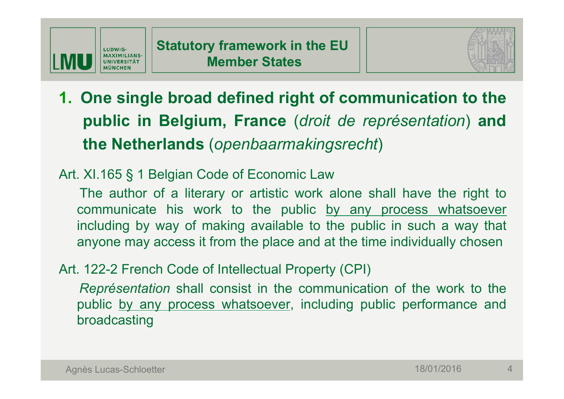



**1. One single broad defined right of communication to the public in Belgium, France** (*droit de représentation*) **and the Netherlands** (*openbaarmakingsrecht*)

#### Art. XI.165 § 1 Belgian Code of Economic Law

The author of a literary or artistic work alone shall have the right to communicate his work to the public by any process whatsoever including by way of making available to the public in such a way that anyone may access it from the place and at the time individually chosen

#### Art. 122-2 French Code of Intellectual Property (CPI)

*Représentation* shall consist in the communication of the work to the public by any process whatsoever, including public performance and broadcasting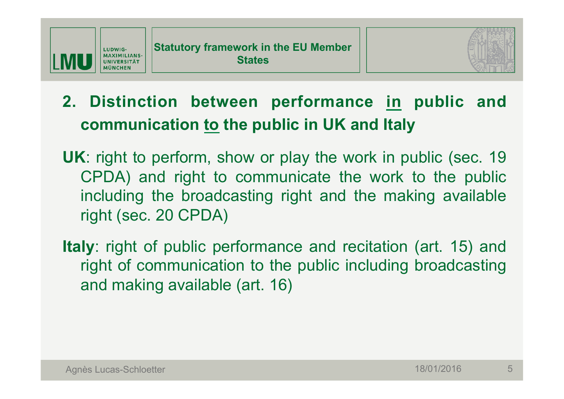



# **2. Distinction between performance in public and communication to the public in UK and Italy**

- **UK**: right to perform, show or play the work in public (sec. 19 CPDA) and right to communicate the work to the public including the broadcasting right and the making available right (sec. 20 CPDA)
- **Italy**: right of public performance and recitation (art. 15) and right of communication to the public including broadcasting and making available (art. 16)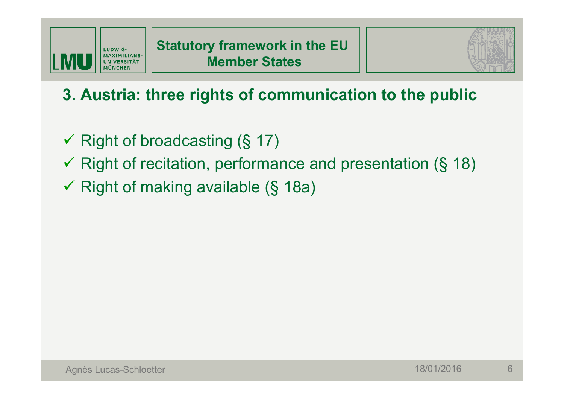

# **3. Austria: three rights of communication to the public**

- $\checkmark$  Right of broadcasting (§ 17)
- $\checkmark$  Right of recitation, performance and presentation (§ 18)
- $\checkmark$  Right of making available (§ 18a)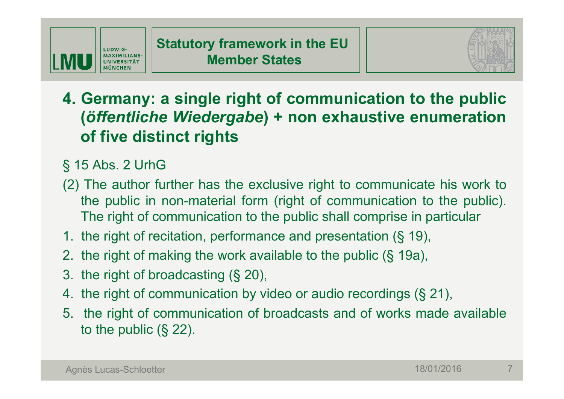



- **4. Germany: a single right of communication to the public (***öffentliche Wiedergabe***) + non exhaustive enumeration of five distinct rights**
- § 15 Abs. 2 UrhG
- (2) The author further has the exclusive right to communicate his work to the public in non-material form (right of communication to the public). The right of communication to the public shall comprise in particular
- 1. the right of recitation, performance and presentation (§ 19),
- 2. the right of making the work available to the public (§ 19a),
- 3. the right of broadcasting (§ 20),
- 4. the right of communication by video or audio recordings (§ 21),
- 5. the right of communication of broadcasts and of works made available to the public (§ 22).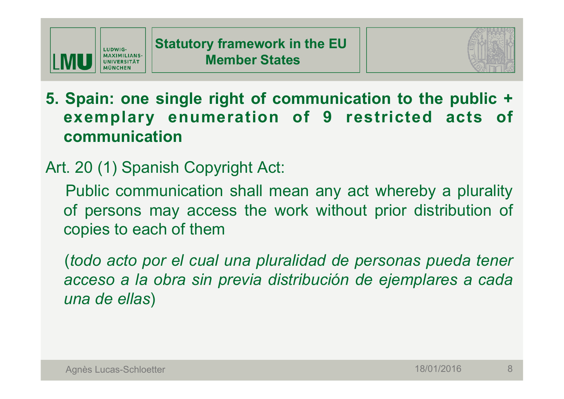



**5. Spain: one single right of communication to the public + exemplary enumeration of 9 restricted acts of communication** 

## Art. 20 (1) Spanish Copyright Act:

Public communication shall mean any act whereby a plurality of persons may access the work without prior distribution of copies to each of them

(*todo acto por el cual una pluralidad de personas pueda tener acceso a la obra sin previa distribución de ejemplares a cada una de ellas*)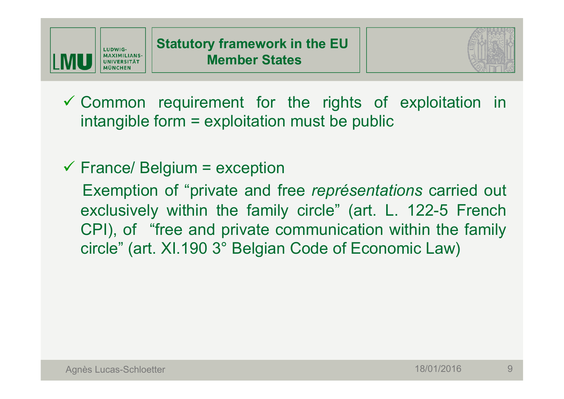



 $\checkmark$  Common requirement for the rights of exploitation in intangible form = exploitation must be public

 $\checkmark$  France/ Belgium = exception

Exemption of "private and free *représentations* carried out exclusively within the family circle" (art. L. 122-5 French CPI), of "free and private communication within the family circle" (art. XI.190 3° Belgian Code of Economic Law)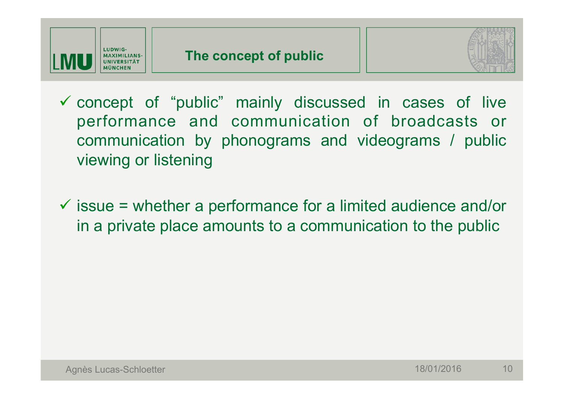



- $\checkmark$  concept of "public" mainly discussed in cases of live performance and communication of broadcasts or communication by phonograms and videograms / public viewing or listening
- $\checkmark$  issue = whether a performance for a limited audience and/or in a private place amounts to a communication to the public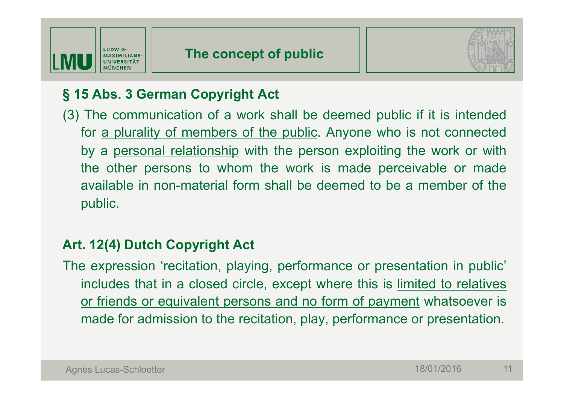



### **§ 15 Abs. 3 German Copyright Act**

(3) The communication of a work shall be deemed public if it is intended for a plurality of members of the public. Anyone who is not connected by a personal relationship with the person exploiting the work or with the other persons to whom the work is made perceivable or made available in non-material form shall be deemed to be a member of the public.

#### **Art. 12(4) Dutch Copyright Act**

The expression 'recitation, playing, performance or presentation in public' includes that in a closed circle, except where this is limited to relatives or friends or equivalent persons and no form of payment whatsoever is made for admission to the recitation, play, performance or presentation.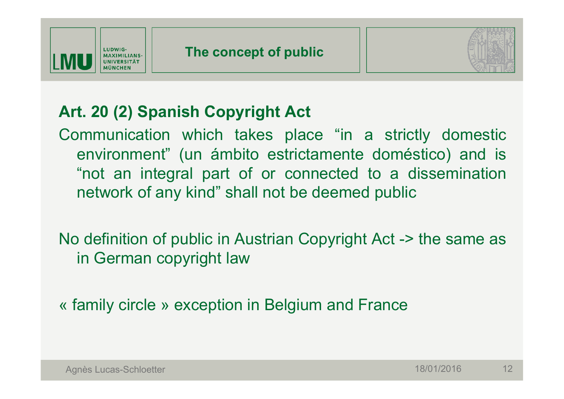



# **Art. 20 (2) Spanish Copyright Act**

Communication which takes place "in a strictly domestic environment" (un ámbito estrictamente doméstico) and is "not an integral part of or connected to a dissemination network of any kind" shall not be deemed public

No definition of public in Austrian Copyright Act -> the same as in German copyright law

« family circle » exception in Belgium and France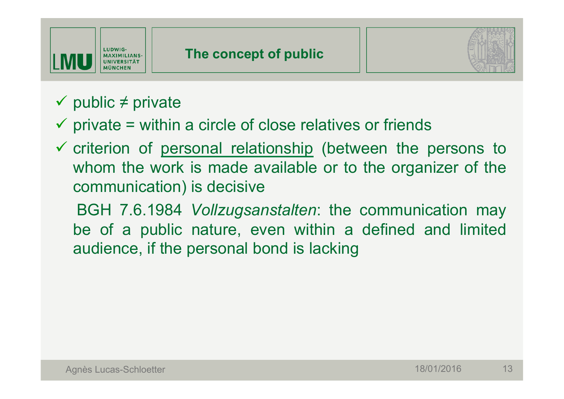



# $\checkmark$  public  $\neq$  private

### $\checkmark$  private = within a circle of close relatives or friends

 $\checkmark$  criterion of personal relationship (between the persons to whom the work is made available or to the organizer of the communication) is decisive

BGH 7.6.1984 *Vollzugsanstalten*: the communication may be of a public nature, even within a defined and limited audience, if the personal bond is lacking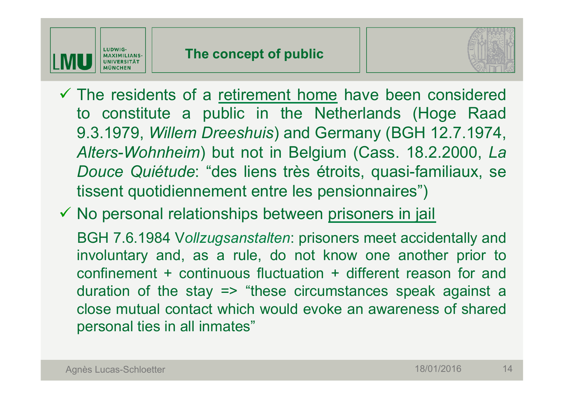



 $\checkmark$  The residents of a retirement home have been considered to constitute a public in the Netherlands (Hoge Raad 9.3.1979, *Willem Dreeshuis*) and Germany (BGH 12.7.1974, *Alters-Wohnheim*) but not in Belgium (Cass. 18.2.2000, *La Douce Quiétude*: "des liens très étroits, quasi-familiaux, se tissent quotidiennement entre les pensionnaires")

 $\checkmark$  No personal relationships between prisoners in jail

BGH 7.6.1984 V*ollzugsanstalten*: prisoners meet accidentally and involuntary and, as a rule, do not know one another prior to confinement + continuous fluctuation + different reason for and duration of the stay => "these circumstances speak against a close mutual contact which would evoke an awareness of shared personal ties in all inmates"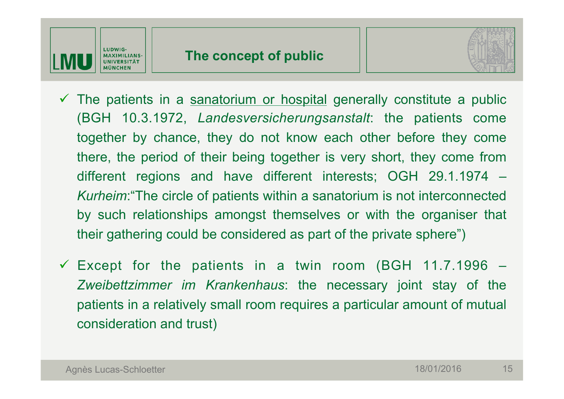



- $\checkmark$  The patients in a sanatorium or hospital generally constitute a public (BGH 10.3.1972, *Landesversicherungsanstalt*: the patients come together by chance, they do not know each other before they come there, the period of their being together is very short, they come from different regions and have different interests; OGH 29.1.1974 – *Kurheim*:"The circle of patients within a sanatorium is not interconnected by such relationships amongst themselves or with the organiser that their gathering could be considered as part of the private sphere")
- $\checkmark$  Except for the patients in a twin room (BGH 11.7.1996 *Zweibettzimmer im Krankenhaus*: the necessary joint stay of the patients in a relatively small room requires a particular amount of mutual consideration and trust)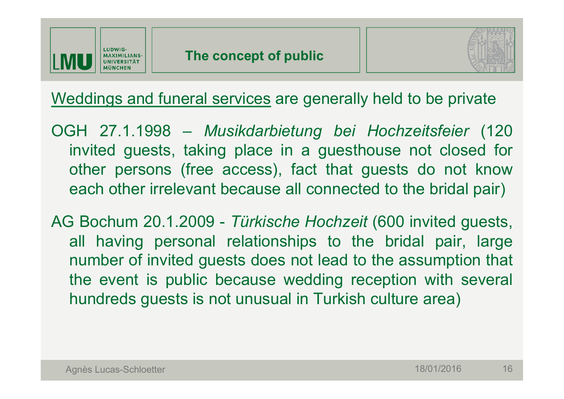



Weddings and funeral services are generally held to be private

OGH 27.1.1998 – *Musikdarbietung bei Hochzeitsfeier* (120 invited guests, taking place in a guesthouse not closed for other persons (free access), fact that guests do not know each other irrelevant because all connected to the bridal pair)

AG Bochum 20.1.2009 - *Türkische Hochzeit* (600 invited guests, all having personal relationships to the bridal pair, large number of invited guests does not lead to the assumption that the event is public because wedding reception with several hundreds guests is not unusual in Turkish culture area)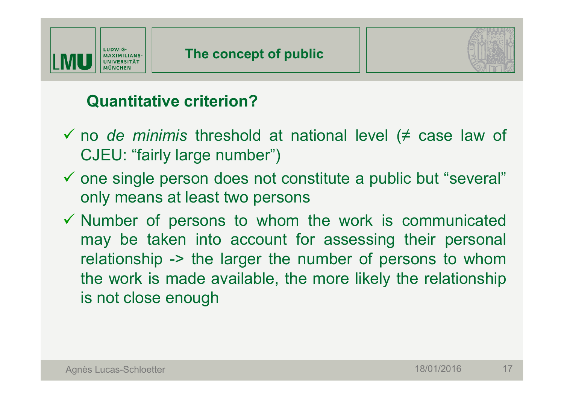



### **Quantitative criterion?**

- ü no *de minimis* threshold at national level (≠ case law of CJEU: "fairly large number")
- $\checkmark$  one single person does not constitute a public but "several" only means at least two persons
- $\checkmark$  Number of persons to whom the work is communicated may be taken into account for assessing their personal relationship -> the larger the number of persons to whom the work is made available, the more likely the relationship is not close enough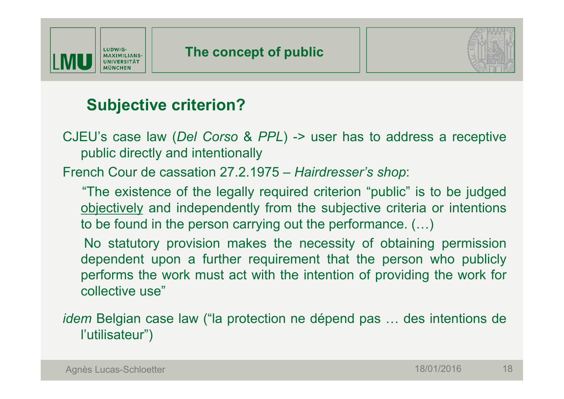



# **Subjective criterion?**

CJEU's case law (*Del Corso* & *PPL*) -> user has to address a receptive public directly and intentionally

French Cour de cassation 27.2.1975 – *Hairdresser's shop*:

"The existence of the legally required criterion "public" is to be judged objectively and independently from the subjective criteria or intentions to be found in the person carrying out the performance. (…)

No statutory provision makes the necessity of obtaining permission dependent upon a further requirement that the person who publicly performs the work must act with the intention of providing the work for collective use"

*idem* Belgian case law ("la protection ne dépend pas … des intentions de l'utilisateur")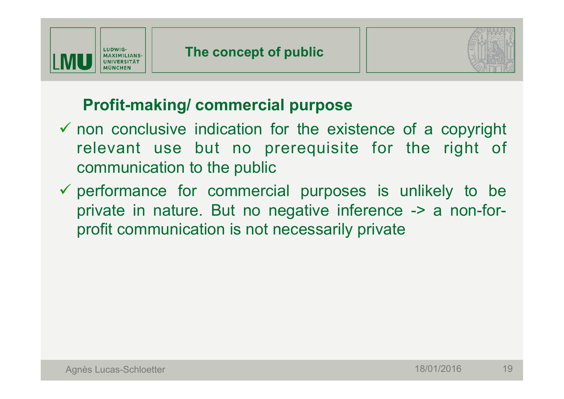



# **Profit-making/ commercial purpose**

- $\checkmark$  non conclusive indication for the existence of a copyright relevant use but no prerequisite for the right of communication to the public
- $\checkmark$  performance for commercial purposes is unlikely to be private in nature. But no negative inference -> a non-forprofit communication is not necessarily private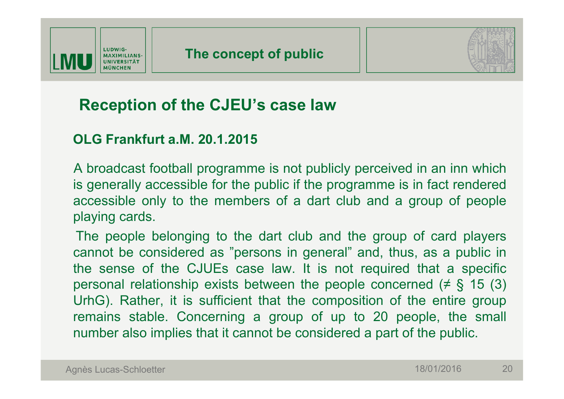



### **Reception of the CJEU's case law**

#### **OLG Frankfurt a.M. 20.1.2015**

A broadcast football programme is not publicly perceived in an inn which is generally accessible for the public if the programme is in fact rendered accessible only to the members of a dart club and a group of people playing cards.

The people belonging to the dart club and the group of card players cannot be considered as "persons in general" and, thus, as a public in the sense of the CJUEs case law. It is not required that a specific personal relationship exists between the people concerned ( $\neq$  § 15 (3) UrhG). Rather, it is sufficient that the composition of the entire group remains stable. Concerning a group of up to 20 people, the small number also implies that it cannot be considered a part of the public.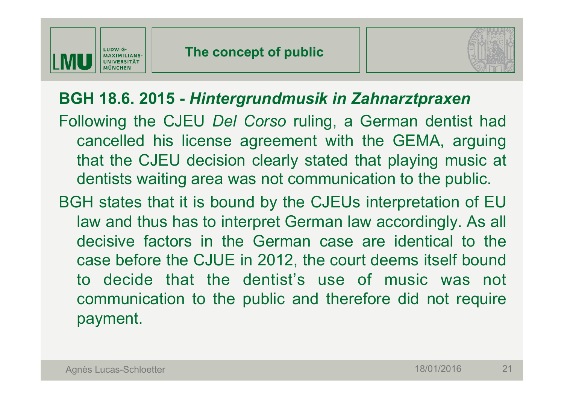



### **BGH 18.6. 2015 -** *Hintergrundmusik in Zahnarztpraxen*

Following the CJEU *Del Corso* ruling, a German dentist had cancelled his license agreement with the GEMA, arguing that the CJEU decision clearly stated that playing music at dentists waiting area was not communication to the public.

BGH states that it is bound by the CJEUs interpretation of EU law and thus has to interpret German law accordingly. As all decisive factors in the German case are identical to the case before the CJUE in 2012, the court deems itself bound to decide that the dentist's use of music was not communication to the public and therefore did not require payment.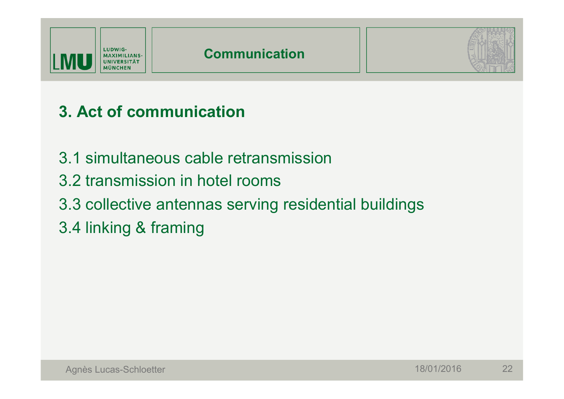



# **3. Act of communication**

- 3.1 simultaneous cable retransmission
- 3.2 transmission in hotel rooms
- 3.3 collective antennas serving residential buildings
- 3.4 linking & framing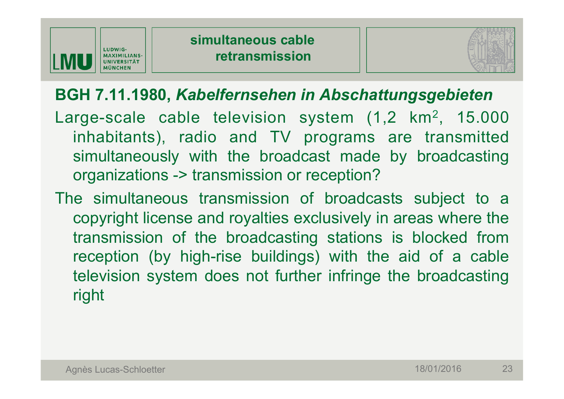



# **BGH 7.11.1980,** *Kabelfernsehen in Abschattungsgebieten*

- Large-scale cable television system (1,2 km<sup>2</sup>, 15.000 inhabitants), radio and TV programs are transmitted simultaneously with the broadcast made by broadcasting organizations -> transmission or reception?
- The simultaneous transmission of broadcasts subject to a copyright license and royalties exclusively in areas where the transmission of the broadcasting stations is blocked from reception (by high-rise buildings) with the aid of a cable television system does not further infringe the broadcasting right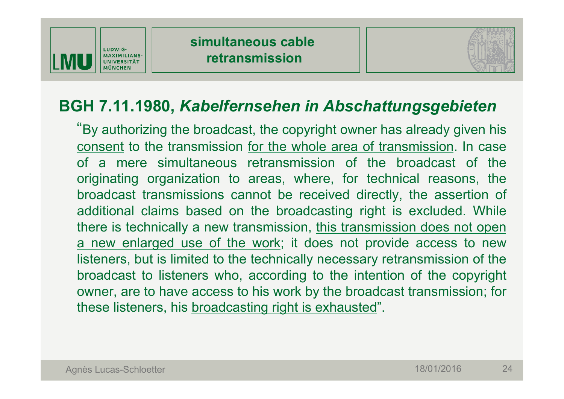



### **BGH 7.11.1980,** *Kabelfernsehen in Abschattungsgebieten*

"By authorizing the broadcast, the copyright owner has already given his consent to the transmission for the whole area of transmission. In case of a mere simultaneous retransmission of the broadcast of the originating organization to areas, where, for technical reasons, the broadcast transmissions cannot be received directly, the assertion of additional claims based on the broadcasting right is excluded. While there is technically a new transmission, this transmission does not open a new enlarged use of the work; it does not provide access to new listeners, but is limited to the technically necessary retransmission of the broadcast to listeners who, according to the intention of the copyright owner, are to have access to his work by the broadcast transmission; for these listeners, his broadcasting right is exhausted".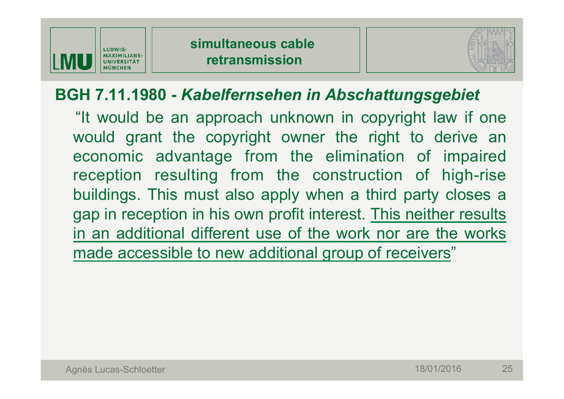



# **BGH 7.11.1980 -** *Kabelfernsehen in Abschattungsgebiet*

"It would be an approach unknown in copyright law if one would grant the copyright owner the right to derive an economic advantage from the elimination of impaired reception resulting from the construction of high-rise buildings. This must also apply when a third party closes a gap in reception in his own profit interest. This neither results in an additional different use of the work nor are the works made accessible to new additional group of receivers"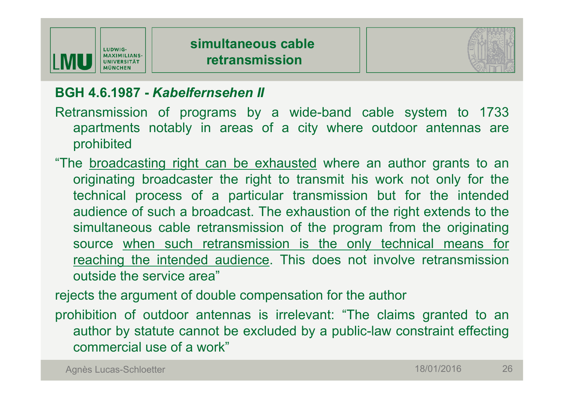



#### **BGH 4.6.1987 -** *Kabelfernsehen II*

- Retransmission of programs by a wide-band cable system to 1733 apartments notably in areas of a city where outdoor antennas are prohibited
- "The broadcasting right can be exhausted where an author grants to an originating broadcaster the right to transmit his work not only for the technical process of a particular transmission but for the intended audience of such a broadcast. The exhaustion of the right extends to the simultaneous cable retransmission of the program from the originating source when such retransmission is the only technical means for reaching the intended audience. This does not involve retransmission outside the service area"

rejects the argument of double compensation for the author

prohibition of outdoor antennas is irrelevant: "The claims granted to an author by statute cannot be excluded by a public-law constraint effecting commercial use of a work"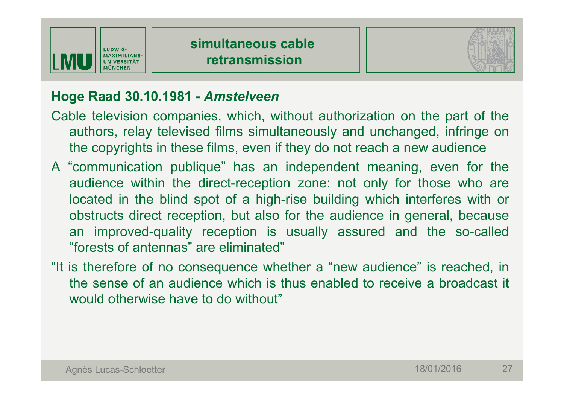



#### **Hoge Raad 30.10.1981 -** *Amstelveen*

- Cable television companies, which, without authorization on the part of the authors, relay televised films simultaneously and unchanged, infringe on the copyrights in these films, even if they do not reach a new audience
- A "communication publique" has an independent meaning, even for the audience within the direct-reception zone: not only for those who are located in the blind spot of a high-rise building which interferes with or obstructs direct reception, but also for the audience in general, because an improved-quality reception is usually assured and the so-called "forests of antennas" are eliminated"
- "It is therefore of no consequence whether a "new audience" is reached, in the sense of an audience which is thus enabled to receive a broadcast it would otherwise have to do without"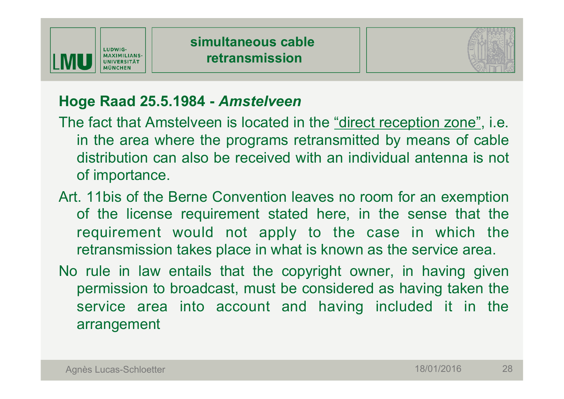



#### **Hoge Raad 25.5.1984 -** *Amstelveen*

- The fact that Amstelveen is located in the "direct reception zone", i.e. in the area where the programs retransmitted by means of cable distribution can also be received with an individual antenna is not of importance.
- Art. 11bis of the Berne Convention leaves no room for an exemption of the license requirement stated here, in the sense that the requirement would not apply to the case in which the retransmission takes place in what is known as the service area.
- No rule in law entails that the copyright owner, in having given permission to broadcast, must be considered as having taken the service area into account and having included it in the arrangement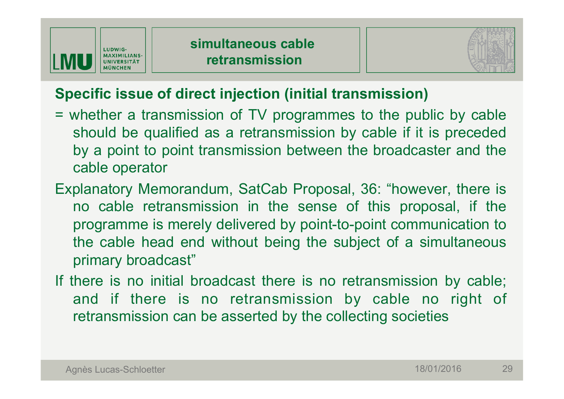



### **Specific issue of direct injection (initial transmission)**

- = whether a transmission of TV programmes to the public by cable should be qualified as a retransmission by cable if it is preceded by a point to point transmission between the broadcaster and the cable operator
- Explanatory Memorandum, SatCab Proposal, 36: "however, there is no cable retransmission in the sense of this proposal, if the programme is merely delivered by point-to-point communication to the cable head end without being the subject of a simultaneous primary broadcast"
- If there is no initial broadcast there is no retransmission by cable; and if there is no retransmission by cable no right of retransmission can be asserted by the collecting societies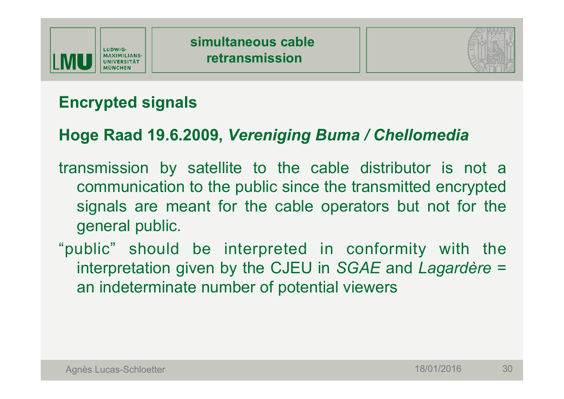



# **Encrypted signals**

# **Hoge Raad 19.6.2009,** *Vereniging Buma / Chellomedia*

- transmission by satellite to the cable distributor is not a communication to the public since the transmitted encrypted signals are meant for the cable operators but not for the general public.
- "public" should be interpreted in conformity with the interpretation given by the CJEU in *SGAE* and *Lagardère* = an indeterminate number of potential viewers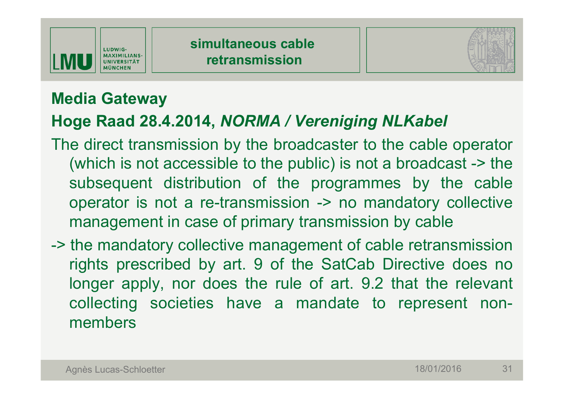



# **Media Gateway**

# **Hoge Raad 28.4.2014,** *NORMA / Vereniging NLKabel*

- The direct transmission by the broadcaster to the cable operator (which is not accessible to the public) is not a broadcast -> the subsequent distribution of the programmes by the cable operator is not a re-transmission -> no mandatory collective management in case of primary transmission by cable
- -> the mandatory collective management of cable retransmission rights prescribed by art. 9 of the SatCab Directive does no longer apply, nor does the rule of art. 9.2 that the relevant collecting societies have a mandate to represent nonmembers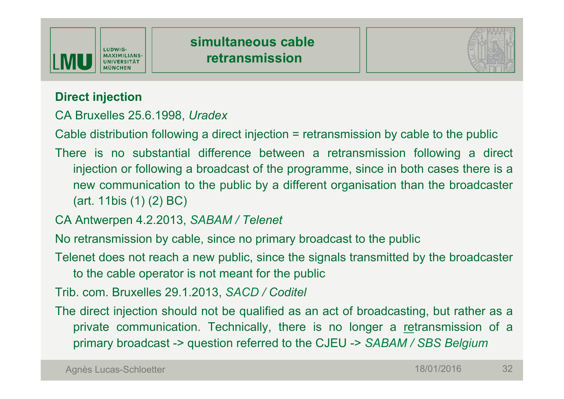



#### **Direct injection**

CA Bruxelles 25.6.1998, *Uradex*

Cable distribution following a direct injection = retransmission by cable to the public

There is no substantial difference between a retransmission following a direct injection or following a broadcast of the programme, since in both cases there is a new communication to the public by a different organisation than the broadcaster (art. 11bis (1) (2) BC)

CA Antwerpen 4.2.2013, *SABAM / Telenet*

No retransmission by cable, since no primary broadcast to the public

Telenet does not reach a new public, since the signals transmitted by the broadcaster to the cable operator is not meant for the public

Trib. com. Bruxelles 29.1.2013, *SACD / Coditel*

The direct injection should not be qualified as an act of broadcasting, but rather as a private communication. Technically, there is no longer a retransmission of a primary broadcast -> question referred to the CJEU -> *SABAM / SBS Belgium*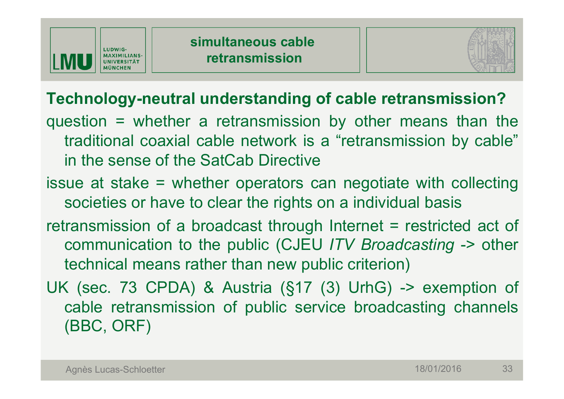



# **Technology-neutral understanding of cable retransmission?**

- question = whether a retransmission by other means than the traditional coaxial cable network is a "retransmission by cable" in the sense of the SatCab Directive
- issue at stake = whether operators can negotiate with collecting societies or have to clear the rights on a individual basis
- retransmission of a broadcast through Internet = restricted act of communication to the public (CJEU *ITV Broadcasting* -> other technical means rather than new public criterion)
- UK (sec. 73 CPDA) & Austria (§17 (3) UrhG) -> exemption of cable retransmission of public service broadcasting channels (BBC, ORF)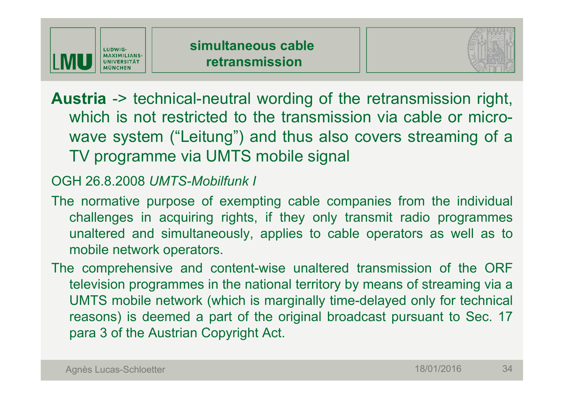



**Austria** -> technical-neutral wording of the retransmission right, which is not restricted to the transmission via cable or microwave system ("Leitung") and thus also covers streaming of a TV programme via UMTS mobile signal

#### OGH 26.8.2008 *UMTS-Mobilfunk I*

- The normative purpose of exempting cable companies from the individual challenges in acquiring rights, if they only transmit radio programmes unaltered and simultaneously, applies to cable operators as well as to mobile network operators.
- The comprehensive and content-wise unaltered transmission of the ORF television programmes in the national territory by means of streaming via a UMTS mobile network (which is marginally time-delayed only for technical reasons) is deemed a part of the original broadcast pursuant to Sec. 17 para 3 of the Austrian Copyright Act.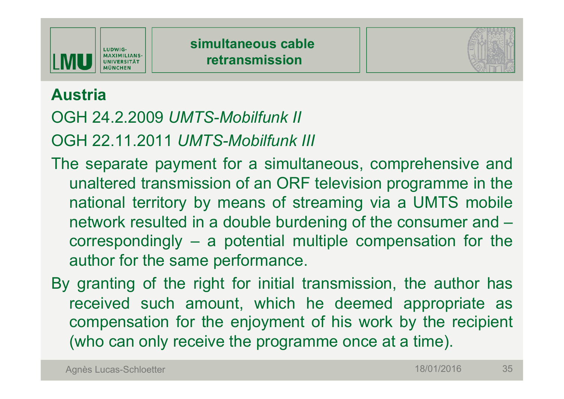



### **Austria**

# OGH 24.2.2009 *UMTS-Mobilfunk II*

OGH 22.11.2011 *UMTS-Mobilfunk III*

- The separate payment for a simultaneous, comprehensive and unaltered transmission of an ORF television programme in the national territory by means of streaming via a UMTS mobile network resulted in a double burdening of the consumer and – correspondingly – a potential multiple compensation for the author for the same performance.
- By granting of the right for initial transmission, the author has received such amount, which he deemed appropriate as compensation for the enjoyment of his work by the recipient (who can only receive the programme once at a time).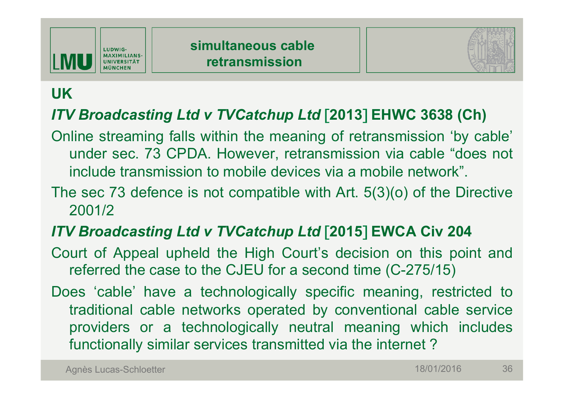



# **UK**

### *ITV Broadcasting Ltd v TVCatchup Ltd* [**2013**] **EHWC 3638 (Ch)**

- Online streaming falls within the meaning of retransmission 'by cable' under sec. 73 CPDA. However, retransmission via cable "does not include transmission to mobile devices via a mobile network".
- The sec 73 defence is not compatible with Art. 5(3)(o) of the Directive 2001/2

### *ITV Broadcasting Ltd v TVCatchup Ltd* [**2015**] **EWCA Civ 204**

- Court of Appeal upheld the High Court's decision on this point and referred the case to the CJEU for a second time (C-275/15)
- Does 'cable' have a technologically specific meaning, restricted to traditional cable networks operated by conventional cable service providers or a technologically neutral meaning which includes functionally similar services transmitted via the internet ?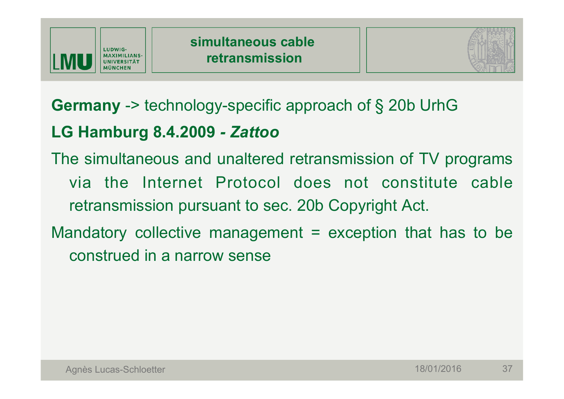



**Germany** -> technology-specific approach of § 20b UrhG

# **LG Hamburg 8.4.2009** *- Zattoo*

The simultaneous and unaltered retransmission of TV programs via the Internet Protocol does not constitute cable retransmission pursuant to sec. 20b Copyright Act.

Mandatory collective management  $=$  exception that has to be construed in a narrow sense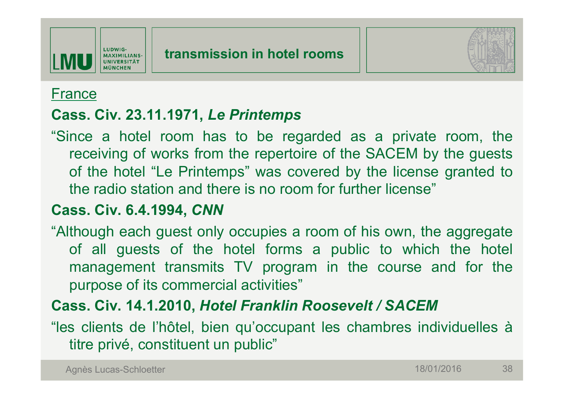

#### France

#### **Cass. Civ. 23.11.1971,** *Le Printemps*

"Since a hotel room has to be regarded as a private room, the receiving of works from the repertoire of the SACEM by the guests of the hotel "Le Printemps" was covered by the license granted to the radio station and there is no room for further license"

#### **Cass. Civ. 6.4.1994,** *CNN*

"Although each guest only occupies a room of his own, the aggregate of all guests of the hotel forms a public to which the hotel management transmits TV program in the course and for the purpose of its commercial activities"

### **Cass. Civ. 14.1.2010,** *Hotel Franklin Roosevelt / SACEM*

"les clients de l'hôtel, bien qu'occupant les chambres individuelles à titre privé, constituent un public"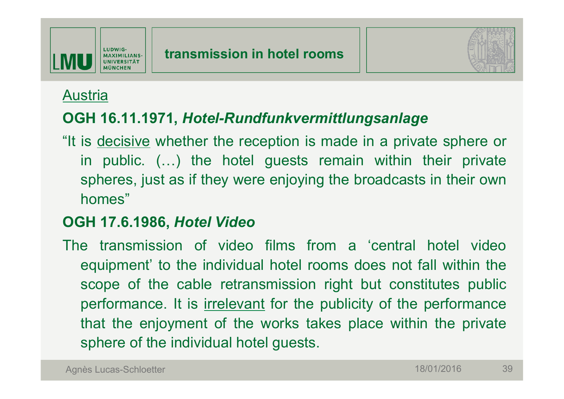

#### Austria

#### **OGH 16.11.1971,** *Hotel-Rundfunkvermittlungsanlage*

"It is decisive whether the reception is made in a private sphere or in public. (…) the hotel guests remain within their private spheres, just as if they were enjoying the broadcasts in their own homes"

#### **OGH 17.6.1986,** *Hotel Video*

The transmission of video films from a 'central hotel video equipment' to the individual hotel rooms does not fall within the scope of the cable retransmission right but constitutes public performance. It is *irrelevant* for the publicity of the performance that the enjoyment of the works takes place within the private sphere of the individual hotel guests.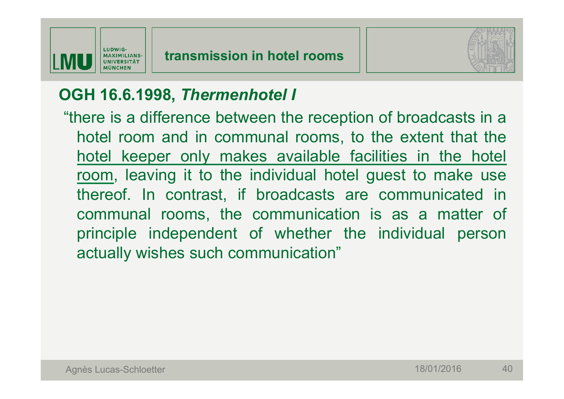

### **OGH 16.6.1998,** *Thermenhotel I*

 "there is a difference between the reception of broadcasts in a hotel room and in communal rooms, to the extent that the hotel keeper only makes available facilities in the hotel room, leaving it to the individual hotel guest to make use thereof. In contrast, if broadcasts are communicated in communal rooms, the communication is as a matter of principle independent of whether the individual person actually wishes such communication"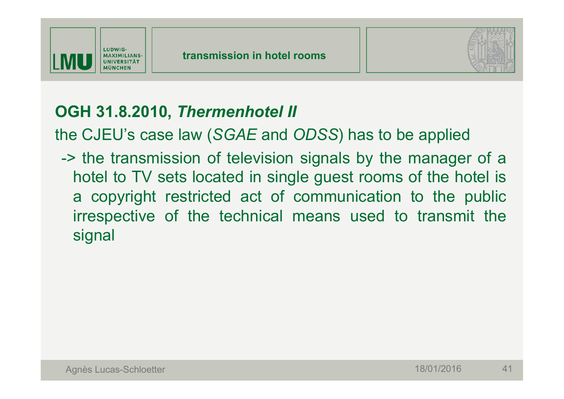



# **OGH 31.8.2010,** *Thermenhotel II*

the CJEU's case law (*SGAE* and *ODSS*) has to be applied

 -> the transmission of television signals by the manager of a hotel to TV sets located in single guest rooms of the hotel is a copyright restricted act of communication to the public irrespective of the technical means used to transmit the signal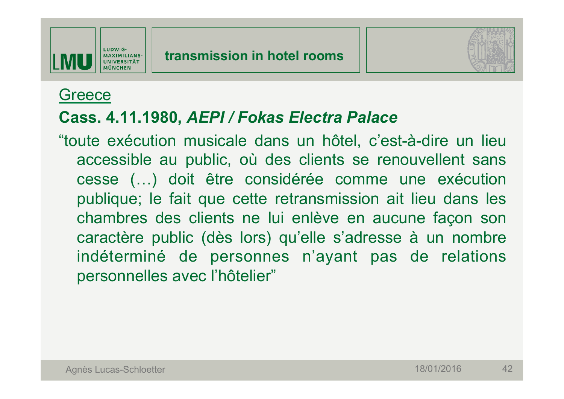

### **Greece**

### **Cass. 4.11.1980,** *AEPI / Fokas Electra Palace*

"toute exécution musicale dans un hôtel, c'est-à-dire un lieu accessible au public, où des clients se renouvellent sans cesse (…) doit être considérée comme une exécution publique; le fait que cette retransmission ait lieu dans les chambres des clients ne lui enlève en aucune façon son caractère public (dès lors) qu'elle s'adresse à un nombre indéterminé de personnes n'ayant pas de relations personnelles avec l'hôtelier"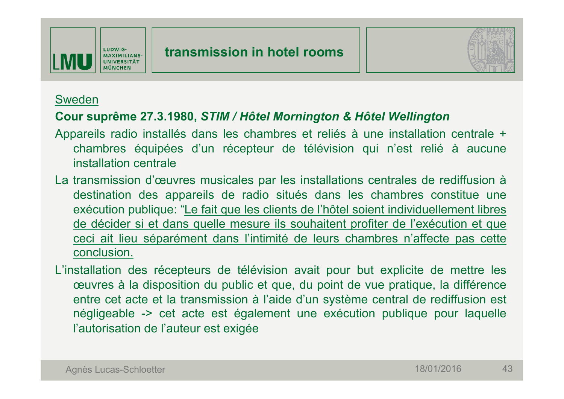



#### Sweden

#### **Cour suprême 27.3.1980,** *STIM / Hôtel Mornington & Hôtel Wellington*

- Appareils radio installés dans les chambres et reliés à une installation centrale + chambres équipées d'un récepteur de télévision qui n'est relié à aucune installation centrale
- La transmission d'œuvres musicales par les installations centrales de rediffusion à destination des appareils de radio situés dans les chambres constitue une exécution publique: "Le fait que les clients de l'hôtel soient individuellement libres de décider si et dans quelle mesure ils souhaitent profiter de l'exécution et que ceci ait lieu séparément dans l'intimité de leurs chambres n'affecte pas cette conclusion.
- L'installation des récepteurs de télévision avait pour but explicite de mettre les œuvres à la disposition du public et que, du point de vue pratique, la différence entre cet acte et la transmission à l'aide d'un système central de rediffusion est négligeable -> cet acte est également une exécution publique pour laquelle l'autorisation de l'auteur est exigée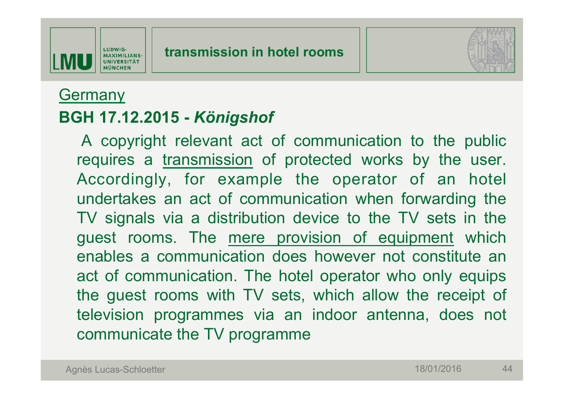



### **Germany**

### **BGH 17.12.2015 -** *Königshof*

A copyright relevant act of communication to the public requires a transmission of protected works by the user. Accordingly, for example the operator of an hotel undertakes an act of communication when forwarding the TV signals via a distribution device to the TV sets in the guest rooms. The mere provision of equipment which enables a communication does however not constitute an act of communication. The hotel operator who only equips the guest rooms with TV sets, which allow the receipt of television programmes via an indoor antenna, does not communicate the TV programme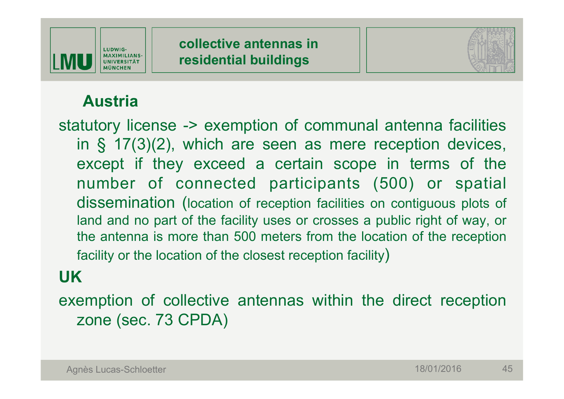



# **Austria**

statutory license -> exemption of communal antenna facilities in § 17(3)(2), which are seen as mere reception devices, except if they exceed a certain scope in terms of the number of connected participants (500) or spatial dissemination (location of reception facilities on contiguous plots of land and no part of the facility uses or crosses a public right of way, or the antenna is more than 500 meters from the location of the reception facility or the location of the closest reception facility)

# **UK**

exemption of collective antennas within the direct reception zone (sec. 73 CPDA)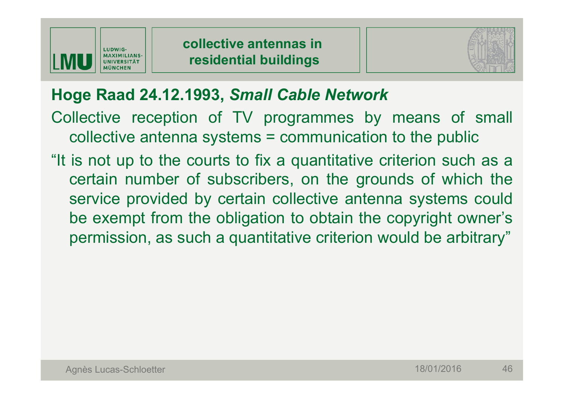



# **Hoge Raad 24.12.1993,** *Small Cable Network*

Collective reception of TV programmes by means of small collective antenna systems = communication to the public

"It is not up to the courts to fix a quantitative criterion such as a certain number of subscribers, on the grounds of which the service provided by certain collective antenna systems could be exempt from the obligation to obtain the copyright owner's permission, as such a quantitative criterion would be arbitrary"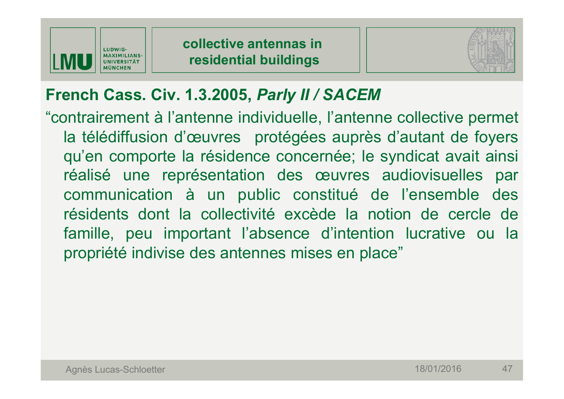



# **French Cass. Civ. 1.3.2005,** *Parly II / SACEM*

"contrairement à l'antenne individuelle, l'antenne collective permet la télédiffusion d'œuvres protégées auprès d'autant de foyers qu'en comporte la résidence concernée; le syndicat avait ainsi réalisé une représentation des œuvres audiovisuelles par communication à un public constitué de l'ensemble des résidents dont la collectivité excède la notion de cercle de famille, peu important l'absence d'intention lucrative ou la propriété indivise des antennes mises en place"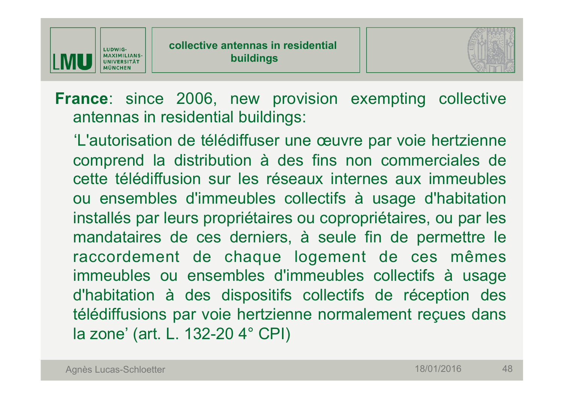



**France**: since 2006, new provision exempting collective antennas in residential buildings:

'L'autorisation de télédiffuser une œuvre par voie hertzienne comprend la distribution à des fins non commerciales de cette télédiffusion sur les réseaux internes aux immeubles ou ensembles d'immeubles collectifs à usage d'habitation installés par leurs propriétaires ou copropriétaires, ou par les mandataires de ces derniers, à seule fin de permettre le raccordement de chaque logement de ces mêmes immeubles ou ensembles d'immeubles collectifs à usage d'habitation à des dispositifs collectifs de réception des télédiffusions par voie hertzienne normalement reçues dans la zone' (art. L. 132-20 4° CPI)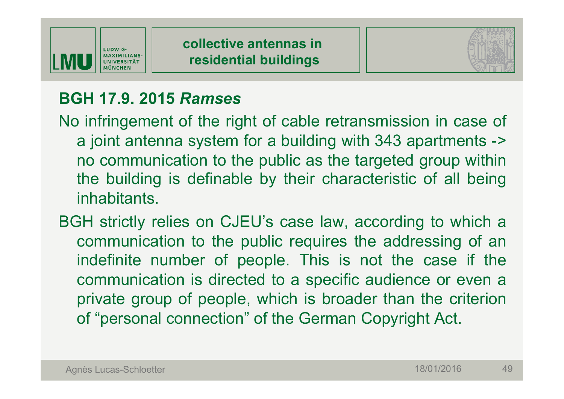



# **BGH 17.9. 2015** *Ramses*

- No infringement of the right of cable retransmission in case of a joint antenna system for a building with 343 apartments -> no communication to the public as the targeted group within the building is definable by their characteristic of all being inhabitants.
- BGH strictly relies on CJEU's case law, according to which a communication to the public requires the addressing of an indefinite number of people. This is not the case if the communication is directed to a specific audience or even a private group of people, which is broader than the criterion of "personal connection" of the German Copyright Act.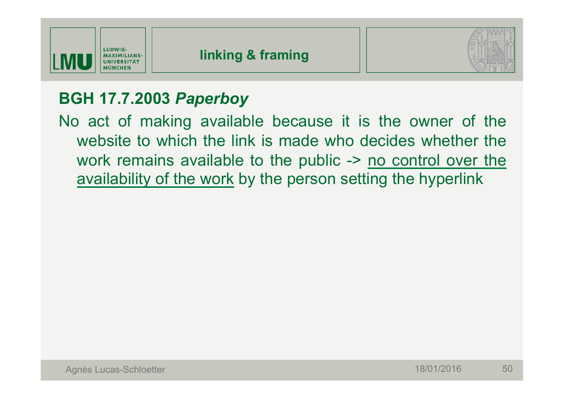

# **BGH 17.7.2003** *Paperboy*

No act of making available because it is the owner of the website to which the link is made who decides whether the work remains available to the public -> no control over the availability of the work by the person setting the hyperlink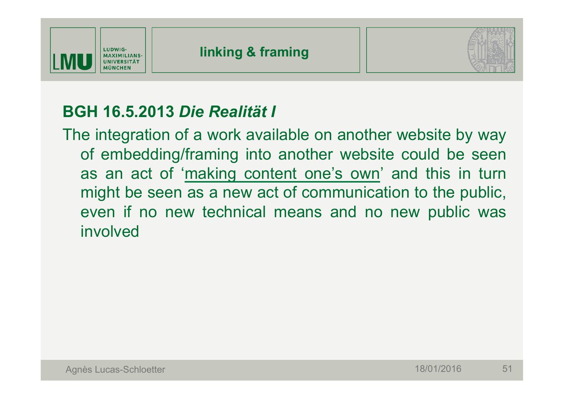



# **BGH 16.5.2013** *Die Realität I*

The integration of a work available on another website by way of embedding/framing into another website could be seen as an act of 'making content one's own' and this in turn might be seen as a new act of communication to the public, even if no new technical means and no new public was involved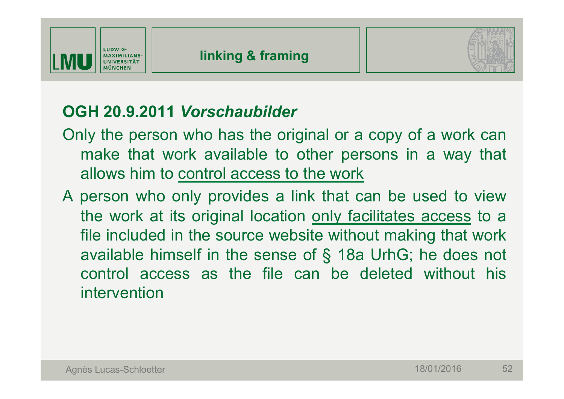



# **OGH 20.9.2011** *Vorschaubilder*

- Only the person who has the original or a copy of a work can make that work available to other persons in a way that allows him to control access to the work
- A person who only provides a link that can be used to view the work at its original location only facilitates access to a file included in the source website without making that work available himself in the sense of § 18a UrhG; he does not control access as the file can be deleted without his intervention